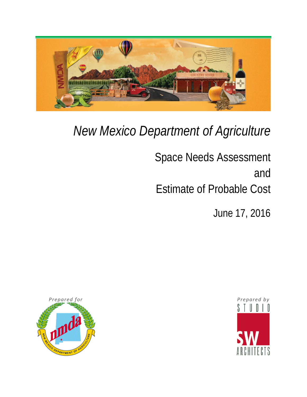

# *New Mexico Department of Agriculture*

Space Needs Assessment and Estimate of Probable Cost

June 17, 2016



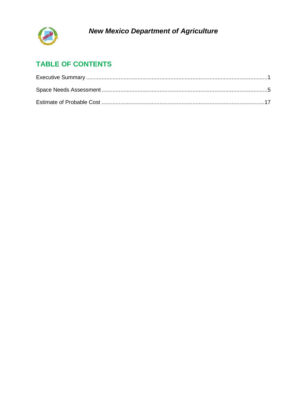

# **TABLE OF CONTENTS**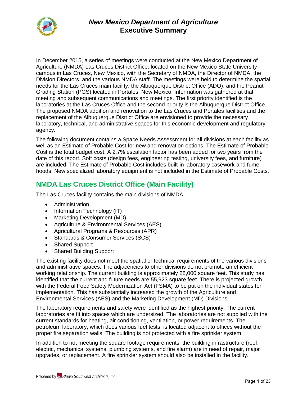

In December 2015, a series of meetings were conducted at the New Mexico Department of Agriculture (NMDA) Las Cruces District Office, located on the New Mexico State University campus in Las Cruces, New Mexico, with the Secretary of NMDA, the Director of NMDA, the Division Directors, and the various NMDA staff. The meetings were held to determine the spatial needs for the Las Cruces main facility, the Albuquerque District Office (ADO), and the Peanut Grading Station (PGS) located in Portales, New Mexico. Information was gathered at that meeting and subsequent communications and meetings. The first priority identified is the laboratories at the Las Cruces Office and the second priority is the Albuquerque District Office. The proposed NMDA addition and renovation to the Las Cruces and Portales facilities and the replacement of the Albuquerque District Office are envisioned to provide the necessary laboratory, technical, and administrative spaces for this economic development and regulatory agency.

The following document contains a Space Needs Assessment for all divisions at each facility as well as an Estimate of Probable Cost for new and renovation options. The Estimate of Probable Cost is the total budget cost. A 2.7% escalation factor has been added for two years from the date of this report. Soft costs (design fees, engineering testing, university fees, and furniture) are included. The Estimate of Probable Cost includes built-in laboratory casework and fume hoods. New specialized laboratory equipment is not included in the Estimate of Probable Costs.

# **NMDA Las Cruces District Office (Main Facility)**

The Las Cruces facility contains the main divisions of NMDA:

- Administration
- Information Technology (IT)
- Marketing Development (MD)
- Agriculture & Environmental Services (AES)
- Agricultural Programs & Resources (APR)
- Standards & Consumer Services (SCS)
- Shared Support
- Shared Building Support

The existing facility does not meet the spatial or technical requirements of the various divisions and administrative spaces. The adjacencies to other divisions do not promote an efficient working relationship. The current building is approximately 28,000 square feet. This study has identified that the current and future needs are 55,923 square feet. There is projected growth with the Federal Food Safety Modernization Act (FSMA) to be put on the individual states for implementation. This has substantially increased the growth of the Agriculture and Environmental Services (AES) and the Marketing Development (MD) Divisions.

The laboratory requirements and safety were identified as the highest priority. The current laboratories are fit into spaces which are undersized. The laboratories are not supplied with the current standards for heating, air conditioning, ventilation, or power requirements. The petroleum laboratory, which does various fuel tests, is located adjacent to offices without the proper fire separation walls. The building is not protected with a fire sprinkler system.

In addition to not meeting the square footage requirements, the building infrastructure (roof, electric, mechanical systems, plumbing systems, and fire alarm) are in need of repair, major upgrades, or replacement. A fire sprinkler system should also be installed in the facility.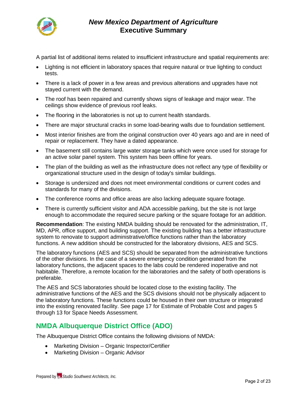

A partial list of additional items related to insufficient infrastructure and spatial requirements are:

- Lighting is not efficient in laboratory spaces that require natural or true lighting to conduct tests.
- There is a lack of power in a few areas and previous alterations and upgrades have not stayed current with the demand.
- The roof has been repaired and currently shows signs of leakage and major wear. The ceilings show evidence of previous roof leaks.
- The flooring in the laboratories is not up to current health standards.
- There are major structural cracks in some load-bearing walls due to foundation settlement.
- Most interior finishes are from the original construction over 40 years ago and are in need of repair or replacement. They have a dated appearance.
- The basement still contains large water storage tanks which were once used for storage for an active solar panel system. This system has been offline for years.
- The plan of the building as well as the infrastructure does not reflect any type of flexibility or organizational structure used in the design of today's similar buildings.
- Storage is undersized and does not meet environmental conditions or current codes and standards for many of the divisions.
- The conference rooms and office areas are also lacking adequate square footage.
- There is currently sufficient visitor and ADA accessible parking, but the site is not large enough to accommodate the required secure parking or the square footage for an addition.

**Recommendation**: The existing NMDA building should be renovated for the administration, IT, MD, APR, office support, and building support. The existing building has a better infrastructure system to renovate to support administrative/office functions rather than the laboratory functions. A new addition should be constructed for the laboratory divisions, AES and SCS.

The laboratory functions (AES and SCS) should be separated from the administrative functions of the other divisions. In the case of a severe emergency condition generated from the laboratory functions, the adjacent spaces to the labs could be rendered inoperative and not habitable. Therefore, a remote location for the laboratories and the safety of both operations is preferable.

The AES and SCS laboratories should be located close to the existing facility. The administrative functions of the AES and the SCS divisions should not be physically adjacent to the laboratory functions. These functions could be housed in their own structure or integrated into the existing renovated facility. See page 17 for Estimate of Probable Cost and pages 5 through 13 for Space Needs Assessment.

### **NMDA Albuquerque District Office (ADO)**

The Albuquerque District Office contains the following divisions of NMDA:

- Marketing Division Organic Inspector/Certifier
- Marketing Division Organic Advisor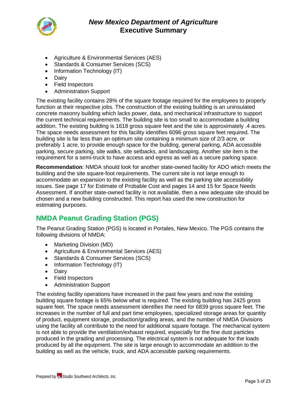

- Agriculture & Environmental Services (AES)
- Standards & Consumer Services (SCS)
- Information Technology (IT)
- Dairy
- Field Inspectors
- Administration Support

The existing facility contains 28% of the square footage required for the employees to properly function at their respective jobs. The construction of the existing building is an uninsulated concrete masonry building which lacks power, data, and mechanical infrastructure to support the current technical requirements. The building site is too small to accommodate a building addition. The existing building is 1618 gross square feet and the site is approximately .4 acres. The space needs assessment for this facility identifies 6096 gross square feet required. The building site is far less than an optimum site containing a minimum size of 2/3 acre, or preferably 1 acre, to provide enough space for the building, general parking, ADA accessible parking, secure parking, site walks, site setbacks, and landscaping. Another site item is the requirement for a semi-truck to have access and egress as well as a secure parking space.

**Recommendation**: NMDA should look for another state-owned facility for ADO which meets the building and the site square-foot requirements. The current site is not large enough to accommodate an expansion to the existing facility as well as the parking site accessibility issues. See page 17 for Estimate of Probable Cost and pages 14 and 15 for Space Needs Assessment. If another state-owned facility is not available, then a new adequate site should be chosen and a new building constructed. This report has used the new construction for estimating purposes.

### **NMDA Peanut Grading Station (PGS)**

The Peanut Grading Station (PGS) is located in Portales, New Mexico. The PGS contains the following divisions of NMDA:

- Marketing Division (MD)
- Agriculture & Environmental Services (AES)
- Standards & Consumer Services (SCS)
- Information Technology (IT)
- Dairy
- Field Inspectors
- Administration Support

The existing facility operations have increased in the past few years and now the existing building square footage is 65% below what is required. The existing building has 2425 gross square feet. The space needs assessment identifies the need for 6839 gross square feet. The increases in the number of full and part time employees, specialized storage areas for quantity of product, equipment storage, production/grading areas, and the number of NMDA Divisions using the facility all contribute to the need for additional square footage. The mechanical system is not able to provide the ventilation/exhaust required, especially for the fine dust particles produced in the grading and processing. The electrical system is not adequate for the loads produced by all the equipment. The site is large enough to accommodate an addition to the building as well as the vehicle, truck, and ADA accessible parking requirements.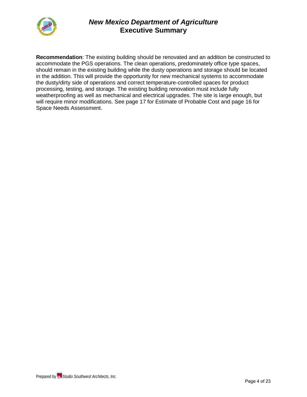

**Recommendation**: The existing building should be renovated and an addition be constructed to accommodate the PGS operations. The clean operations, predominately office type spaces, should remain in the existing building while the dusty operations and storage should be located in the addition. This will provide the opportunity for new mechanical systems to accommodate the dusty/dirty side of operations and correct temperature-controlled spaces for product processing, testing, and storage. The existing building renovation must include fully weatherproofing as well as mechanical and electrical upgrades. The site is large enough, but will require minor modifications. See page 17 for Estimate of Probable Cost and page 16 for Space Needs Assessment.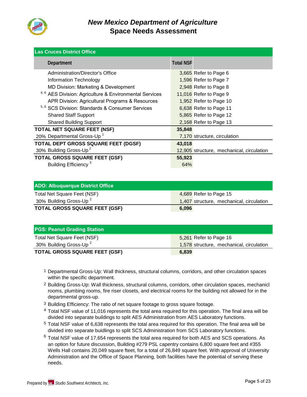

| <b>Las Cruces District Office</b>                       |                  |                                           |
|---------------------------------------------------------|------------------|-------------------------------------------|
| Department                                              | <b>Total NSF</b> |                                           |
| Administration/Director's Office                        |                  | 3,665 Refer to Page 6                     |
| Information Technology                                  |                  | 1,596 Refer to Page 7                     |
| MD Division: Marketing & Development                    |                  | 2,948 Refer to Page 8                     |
| 4, 6 AES Division: Agriculture & Environmental Services |                  | 11,016 Refer to Page 9                    |
| APR Division: Agricultural Programs & Resources         |                  | 1,952 Refer to Page 10                    |
| 5, 6 SCS Division: Standards & Consumer Services        |                  | 6,638 Refer to Page 11                    |
| <b>Shared Staff Support</b>                             |                  | 5,865 Refer to Page 12                    |
| <b>Shared Building Support</b>                          |                  | 2,168 Refer to Page 13                    |
| <b>TOTAL NET SQUARE FEET (NSF)</b>                      | 35,848           |                                           |
| 20% Departmental Gross-Up <sup>1</sup>                  |                  | 7,170 structure, circulation              |
| TOTAL DEPT GROSS SQUARE FEET (DGSF)                     | 43,018           |                                           |
| 30% Building Gross-Up <sup>2</sup>                      |                  | 12,905 structure, mechanical, circulation |
| <b>TOTAL GROSS SQUARE FEET (GSF)</b>                    | 55,923           |                                           |
| Building Efficiency <sup>3</sup>                        | 64%              |                                           |
|                                                         |                  |                                           |

| <b>ADO: Albuquerque District Office</b> |       |                                          |
|-----------------------------------------|-------|------------------------------------------|
| Total Net Square Feet (NSF)             |       | 4,689 Refer to Page 15                   |
| 30% Building Gross-Up <sup>2</sup>      |       | 1,407 structure, mechanical, circulation |
| <b>TOTAL GROSS SQUARE FEET (GSF)</b>    | 6.096 |                                          |

| <b>PGS: Peanut Grading Station</b>   |                                          |
|--------------------------------------|------------------------------------------|
| Total Net Square Feet (NSF)          | 5,261 Refer to Page 16                   |
| 30% Building Gross-Up <sup>2</sup>   | 1,578 structure, mechanical, circulation |
| <b>TOTAL GROSS SQUARE FEET (GSF)</b> | 6.839                                    |

- 1 Departmental Gross-Up: Wall thickness, structural columns, corridors, and other circulation spaces within the specific department.
- 2 Building Gross-Up: Wall thickness, structural columns, corridors, other circulation spaces, mechanicl rooms, plumbing rooms, fire riser closets, and electrical rooms for the building not allowed for in the departmental gross-up.
- 3 Building Efficiency: The ratio of net square footage to gross square footage.
- <sup>4</sup> Total NSF value of 11,016 represents the total area required for this operation. The final area will be divided into separate buildings to split AES Administration from AES Laboratory functions.
- 5 Total NSF value of 6,638 represents the total area required for this operation. The final area will be divided into separate buidlings to split SCS Administration from SCS Laboratory functions.
- $^6$  Total NSF value of 17,654 represents the total area required for both AES and SCS operations. As an option for future discussion, Building #279 PSL capentry contains 6,800 square feet and #355 Wells Hall contains 20,049 square fteet, for a total of 26,849 square feet. With approval of University Administration and the Office of Space Planning, both facilities have the potential of serving these needs.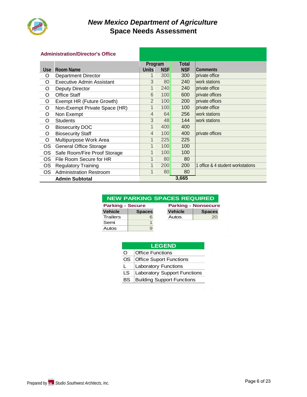

#### **Administration/Director's Office**

|           |                                  | Program        |                 | Total      |                                   |
|-----------|----------------------------------|----------------|-----------------|------------|-----------------------------------|
|           | Use Room Name                    | <b>Units</b>   | <b>NSF</b>      | <b>NSF</b> | <b>Comments</b>                   |
| O         | <b>Department Director</b>       | 1              | 300             | 300        | private office                    |
| O         | <b>Executive Admin Assistant</b> | 3              | 80 <sup>°</sup> | 240        | work stations                     |
| O         | Deputy Director                  | 1              | 240             | 240        | private office                    |
| O         | <b>Office Staff</b>              | 6              | 100             | 600        | private offices                   |
| O         | Exempt HR (Future Growth)        | $\overline{2}$ | 100             | 200        | private offices                   |
| O         | Non-Exempt Private Space (HR)    | 1              | 100             | 100        | private office                    |
| O         | Non Exempt                       | $\overline{4}$ | 64              | 256        | work stations                     |
| O         | <b>Students</b>                  | 3              | 48              | 144        | work stations                     |
| O         | <b>Biosecurity DOC</b>           | $\mathbf{1}$   | 400             | 400        |                                   |
| O         | <b>Biosecurity Staff</b>         | $\overline{4}$ | 100             | 400        | private offices                   |
| O         | Multipurpose Work Area           | 1              | 225             | 225        |                                   |
| <b>OS</b> | <b>General Office Storage</b>    | 1              | 100             | 100        |                                   |
| <b>OS</b> | Safe Room/Fire Proof Storage     | 1              | 100             | 100        |                                   |
| <b>OS</b> | File Room Secure for HR          | $\mathbf{1}$   | 80              | 80         |                                   |
| <b>OS</b> | <b>Regulatory Training</b>       | 1              | 200             | 200        | 1 office & 4 student workstations |
| OS        | <b>Administration Restroom</b>   | 1              | 80              | 80         |                                   |
|           | <b>Admin Subtotal</b>            |                |                 | 3,665      |                                   |

| <b>NEW PARKING SPACES REQUIRED</b> |
|------------------------------------|
|                                    |
|                                    |

| <b>Parking - Secure</b> |               |                | <b>Parking - Nonsecure</b> |
|-------------------------|---------------|----------------|----------------------------|
| <b>Vehicle</b>          | <b>Spaces</b> | <b>Vehicle</b> | <b>Spaces</b>              |
| <b>Trailers</b>         |               | Autos          | 20                         |
| Semi                    |               |                |                            |
| Autos                   |               |                |                            |

|    | <b>LEGEND</b>                       |
|----|-------------------------------------|
| O  | Office Functions                    |
| OS | <b>Office Suport Functions</b>      |
|    | <b>Laboratory Functions</b>         |
| LS | <b>Laboratory Support Functions</b> |
| BS | <b>Building Support Functions</b>   |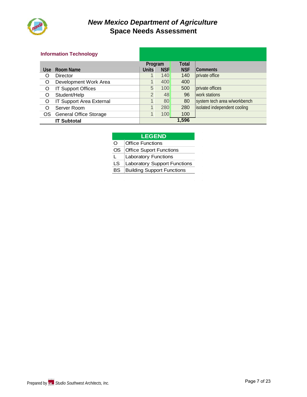

#### **Information Technology**

|         |                                 | Program        |            | Total      |                              |
|---------|---------------------------------|----------------|------------|------------|------------------------------|
|         | Use Room Name                   | <b>Units</b>   | <b>NSF</b> | <b>NSF</b> | Comments                     |
| Ő       | Director                        |                | 140        | 140        | private office               |
| $\circ$ | Development Work Area           | $\mathbf{1}$   | 400        | 400        |                              |
| $\circ$ | <b>IT Support Offices</b>       | 5              | 100        | 500        | private offices              |
| O       | Student/Help                    | $\overline{2}$ | 48         | 96         | work stations                |
| O       | <b>IT Support Area External</b> | $\mathbf{1}$   | 80         | 80         | system tech area w/workbench |
| O       | Server Room                     |                | 280        | 280        | isolated independent cooling |
|         | OS General Office Storage       |                | 100        | 100        |                              |
|         | <b>IT Subtotal</b>              |                |            | 1,596      |                              |

#### **LEGEND**

- O **Office Functions**
- OS **Office Suport Functions**
- L **Laboratory Functions**
- LS Laboratory Support Functions
- BS Building Support Functions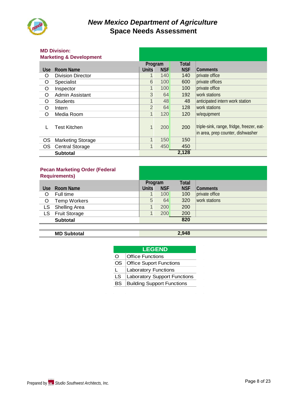

# **MD Division:**

|            | <b>Marketing &amp; Development</b> |                |            |            |                                                                                |
|------------|------------------------------------|----------------|------------|------------|--------------------------------------------------------------------------------|
|            |                                    | Program        |            | Total      |                                                                                |
| <b>Use</b> | <b>Room Name</b>                   | <b>Units</b>   | <b>NSF</b> | <b>NSF</b> | Comments                                                                       |
| O          | <b>Division Director</b>           | 1.             | 140        | 140        | private office                                                                 |
| O          | Specialist                         | 6              | 100        | 600        | private offices                                                                |
| O          | Inspector                          | $\mathbf{1}$   | 100        | 100        | private office                                                                 |
| O          | Admin Assistant                    | 3              | 64         | 192        | work stations                                                                  |
| O          | <b>Students</b>                    | $\mathbf{1}$   | 48         | 48         | anticipated intern work station                                                |
| O          | Intern                             | $\overline{2}$ | 64         | 128        | work stations                                                                  |
| O          | Media Room                         | $\mathbf{1}$   | 120        | 120        | w/equipment                                                                    |
|            | <b>Test Kitchen</b>                | $\mathbf{1}$   | 200        | 200        | triple-sink, range, fridge, freezer, eat-<br>in area, prep counter, dishwasher |
| OS.        | <b>Marketing Storage</b>           | $\overline{1}$ | 150        | 150        |                                                                                |
| OS.        | <b>Central Storage</b>             | $\mathbf{1}$   | 450        | 450        |                                                                                |
|            | <b>Subtotal</b>                    |                |            | 2,128      |                                                                                |

### **Pecan Marketing Order (Federal**

|      | <b>Requirements)</b> |              |            |            |                |
|------|----------------------|--------------|------------|------------|----------------|
|      |                      | Program      |            | Total      |                |
|      | Use Room Name        | <b>Units</b> | <b>NSF</b> | <b>NSF</b> | Comments       |
| O    | Full time            |              | 100        | 100        | private office |
| O    | <b>Temp Workers</b>  | 5            | 64         | 320        | work stations  |
| LS.  | Shelling Area        |              | 200        | 200        |                |
| LS I | <b>Fruit Storage</b> |              | 200        | 200        |                |
|      | <b>Subtotal</b>      |              |            | 820        |                |
|      |                      |              |            |            |                |

#### **MD Subtotal 2,948**

| <b>LEGEND</b>                       |
|-------------------------------------|
| <b>Office Functions</b>             |
| <b>Office Suport Functions</b>      |
| <b>Laboratory Functions</b>         |
| <b>Laboratory Support Functions</b> |
| <b>Building Support Functions</b>   |
|                                     |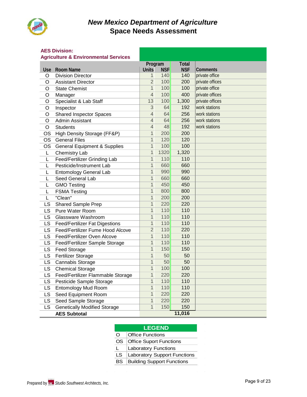

#### **AES Division:**

#### **Agriculture & Environmental Services**

|           | Agriculture & Environmentureer          | Program        |            | <b>Total</b> |                 |
|-----------|-----------------------------------------|----------------|------------|--------------|-----------------|
|           | Use Room Name                           | <b>Units</b>   | <b>NSF</b> | <b>NSF</b>   | <b>Comments</b> |
| O         | <b>Division Director</b>                | $\mathbf{1}$   | 140        | 140          | private office  |
| O         | <b>Assistant Director</b>               | $\overline{2}$ | 100        | 200          | private offices |
| O         | <b>State Chemist</b>                    | $\overline{1}$ | 100        | 100          | private office  |
| O         | Manager                                 | $\overline{4}$ | 100        | 400          | private offices |
| O         | Specialist & Lab Staff                  | 13             | 100        | 1,300        | private offices |
| O         | Inspector                               | $\overline{3}$ | 64         | 192          | work stations   |
| O         | <b>Shared Inspector Spaces</b>          | $\overline{4}$ | 64         | 256          | work stations   |
| O         | Admin Assistant                         | $\overline{4}$ | 64         | 256          | work stations   |
| $\circ$   | <b>Students</b>                         | $\overline{4}$ | 48         | 192          | work stations   |
| <b>OS</b> | High Density Storage (FF&P)             | $\mathbf{1}$   | 200        | 200          |                 |
| <b>OS</b> | <b>General Files</b>                    | $\mathbf{1}$   | 120        | 120          |                 |
| <b>OS</b> | <b>General Equipment &amp; Supplies</b> | $\mathbf{1}$   | 100        | 100          |                 |
| L         | Chemistry Lab                           | $\mathbf{1}$   | 1320       | 1,320        |                 |
| L         | Feed/Fertilizer Grinding Lab            | $\mathbf{1}$   | 110        | 110          |                 |
| L         | Pesticide/Instrument Lab                | $\mathbf{1}$   | 660        | 660          |                 |
| L         | <b>Entomology General Lab</b>           | $\mathbf{1}$   | 990        | 990          |                 |
| L         | Seed General Lab                        | $\mathbf{1}$   | 660        | 660          |                 |
| L         | <b>GMO Testing</b>                      | $\mathbf{1}$   | 450        | 450          |                 |
| L         | <b>FSMA Testing</b>                     | $\overline{1}$ | 800        | 800          |                 |
| L         | "Clean"                                 | $\mathbf{1}$   | 200        | 200          |                 |
| LS        | <b>Shared Sample Prep</b>               | $\overline{1}$ | 220        | 220          |                 |
| LS        | Pure Water Room                         | $\mathbf{1}$   | 110        | 110          |                 |
| <b>LS</b> | Glassware Washroom                      | $\mathbf{1}$   | 110        | 110          |                 |
| <b>LS</b> | <b>Feed/Fertilizer Fat Digestions</b>   | $\mathbf{1}$   | 110        | 110          |                 |
| LS        | Feed/Fertilizer Fume Hood Alcove        | $\overline{2}$ | 110        | 220          |                 |
| LS        | Feed/Fertilizer Oven Alcove             | $\mathbf{1}$   | 110        | 110          |                 |
| LS        | Feed/Fertilizer Sample Storage          | $\mathbf{1}$   | 110        | 110          |                 |
| <b>LS</b> | <b>Feed Storage</b>                     | $\mathbf{1}$   | 150        | 150          |                 |
| <b>LS</b> | Fertilizer Storage                      | $\overline{1}$ | 50         | 50           |                 |
| <b>LS</b> | Cannabis Storage                        | $\mathbf{1}$   | 50         | 50           |                 |
| LS        | <b>Chemical Storage</b>                 | $\overline{1}$ | 100        | 100          |                 |
| <b>LS</b> | Feed/Fertilizer Flammable Storage       | $\mathbf{1}$   | 220        | 220          |                 |
| LS        | Pesticide Sample Storage                | $\mathbf{1}$   | 110        | 110          |                 |
| <b>LS</b> | <b>Entomology Mud Room</b>              | $\overline{1}$ | 110        | 110          |                 |
| <b>LS</b> | Seed Equipment Room                     | $\overline{1}$ | 220        | 220          |                 |
| <b>LS</b> | Seed Sample Storage                     | $\mathbf{1}$   | 220        | 220          |                 |
| LS        | <b>Genetically Modified Storage</b>     | $\overline{1}$ | 150        | 150          |                 |
|           | <b>AES Subtotal</b>                     |                |            | 11,016       |                 |

|    | <b>LEGEND</b>                       |
|----|-------------------------------------|
| O  | <b>Office Functions</b>             |
| OS | <b>Office Suport Functions</b>      |
| L  | <b>Laboratory Functions</b>         |
| LS | <b>Laboratory Support Functions</b> |
| BS | <b>Building Support Functions</b>   |
|    |                                     |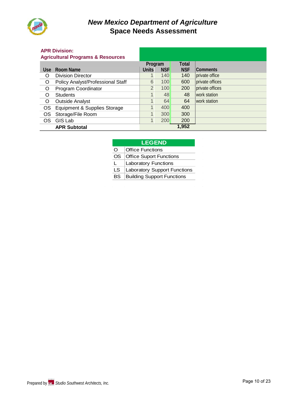

#### **APR Division:**

|            | <b>Agricultural Programs &amp; Resources</b> |                |            |              |                 |
|------------|----------------------------------------------|----------------|------------|--------------|-----------------|
|            |                                              | Program        |            | <b>Total</b> |                 |
| <b>Use</b> | Room Name                                    | <b>Units</b>   | <b>NSF</b> | <b>NSF</b>   | <b>Comments</b> |
| O          | <b>Division Director</b>                     |                | 140        | 140          | private office  |
| O          | Policy Analyst/Professional Staff            | 6              | 100        | 600          | private offices |
| O          | Program Coordinator                          | $\overline{2}$ | 100        | 200          | private offices |
| O          | <b>Students</b>                              | $\mathbf{1}$   | 48         | 48           | work station    |
| O          | <b>Outside Analyst</b>                       |                | 64         | 64           | work station    |
| <b>OS</b>  | Equipment & Supplies Storage                 |                | 400        | 400          |                 |
| OS         | Storage/File Room                            |                | 300        | 300          |                 |
| <b>OS</b>  | GIS Lab                                      | $\mathbf{1}$   | 200        | 200          |                 |
|            | <b>APR Subtotal</b>                          |                |            | 1,952        |                 |

#### **LEGEND**

O **Office Functions** 

- OS **Office Suport Functions**
- L **Laboratory Functions**
- LS | Laboratory Support Functions
- BS Building Support Functions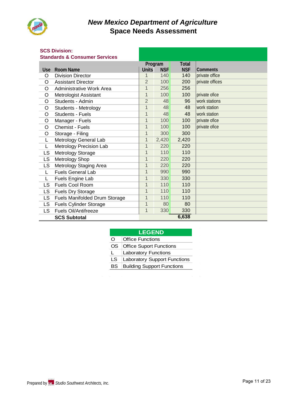

### **SCS Division:**

#### **Standards & Consumer Services**

| <u>Jianuarus &amp; Consunier Jervices</u> |                               |                |            |            |                 |
|-------------------------------------------|-------------------------------|----------------|------------|------------|-----------------|
|                                           |                               | Program        |            | Total      |                 |
| <b>Use</b>                                | <b>Room Name</b>              | <b>Units</b>   | <b>NSF</b> | <b>NSF</b> | <b>Comments</b> |
| O                                         | <b>Division Director</b>      | 1              | 140        | 140        | private office  |
| O                                         | <b>Assistant Director</b>     | $\overline{2}$ | 100        | 200        | private offices |
| O                                         | Administrative Work Area      | $\mathbf{1}$   | 256        | 256        |                 |
| O                                         | Metrologist Assistant         | $\mathbf{1}$   | 100        | 100        | private ofice   |
| O                                         | Students - Admin              | $\overline{2}$ | 48         | 96         | work stations   |
| O                                         | Students - Metrology          | $\mathbf{1}$   | 48         | 48         | work station    |
| O                                         | <b>Students - Fuels</b>       | $\mathbf 1$    | 48         | 48         | work station    |
| O                                         | Manager - Fuels               | $\mathbf{1}$   | 100        | 100        | private ofice   |
| O                                         | Chemist - Fuels               | $\mathbf 1$    | 100        | 100        | private ofice   |
| O                                         | Storage - Filing              | 1              | 300        | 300        |                 |
| L                                         | Metrology General Lab         | 1              | 2,420      | 2,420      |                 |
| L                                         | Metrology Precision Lab       | 1              | 220        | 220        |                 |
| LS                                        | Metrology Storage             | 1              | 110        | 110        |                 |
| <b>LS</b>                                 | Metrology Shop                | 1              | 220        | 220        |                 |
| LS                                        | Metrology Staging Area        | $\mathbf{1}$   | 220        | 220        |                 |
| L                                         | <b>Fuels General Lab</b>      | $\mathbf{1}$   | 990        | 990        |                 |
| L                                         | Fuels Engine Lab              | $\overline{1}$ | 330        | 330        |                 |
| LS                                        | Fuels Cool Room               | $\overline{1}$ | 110        | 110        |                 |
| LS                                        | Fuels Dry Storage             | $\mathbf{1}$   | 110        | 110        |                 |
| <b>LS</b>                                 | Fuels Manifolded Drum Storage | $\mathbf{1}$   | 110        | 110        |                 |
| <b>LS</b>                                 | <b>Fuels Cylinder Storage</b> | $\overline{1}$ | 80         | 80         |                 |
| LS.                                       | Fuels Oil/Antifreeze          | $\mathbf{1}$   | 330        | 330        |                 |
|                                           | <b>SCS Subtotal</b>           |                |            | 6,638      |                 |

|     | <b>LEGEND</b>                       |  |  |  |  |  |
|-----|-------------------------------------|--|--|--|--|--|
| O   | <b>Office Functions</b>             |  |  |  |  |  |
| OS. | <b>Office Suport Functions</b>      |  |  |  |  |  |
| L.  | <b>Laboratory Functions</b>         |  |  |  |  |  |
| LS. | <b>Laboratory Support Functions</b> |  |  |  |  |  |
| BS  | <b>Building Support Functions</b>   |  |  |  |  |  |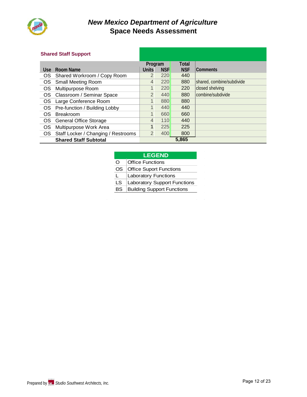

#### **Shared Staff Support**

|            |                                        | Program        |            | <b>Total</b> |                           |
|------------|----------------------------------------|----------------|------------|--------------|---------------------------|
| <b>Use</b> | Room Name                              | <b>Units</b>   | <b>NSF</b> | <b>NSF</b>   | <b>Comments</b>           |
| OS.        | Shared Workroom / Copy Room            | 2              | 220        | 440          |                           |
|            | OS Small Meeting Room                  | $\overline{4}$ | 220        | 880          | shared, combine/subdivide |
| OS.        | Multipurpose Room                      |                | 220        | 220          | closed shelving           |
|            | OS Classroom / Seminar Space           | $\overline{2}$ | 440        | 880          | combine/subdivide         |
| OS.        | Large Conference Room                  | $\mathbf{1}$   | 880        | 880          |                           |
|            | OS Pre-function / Building Lobby       |                | 440        | 440          |                           |
| OS.        | Breakroom                              |                | 660        | 660          |                           |
| OS.        | <b>General Office Storage</b>          | $\overline{4}$ | 110        | 440          |                           |
| <b>OS</b>  | Multipurpose Work Area                 |                | 225        | 225          |                           |
|            | OS Staff Locker / Changing / Restrooms | 2              | 400        | 800          |                           |
|            | <b>Shared Staff Subtotal</b>           |                |            | 5,865        |                           |

#### **LEGEND**

| ∩   | <b>Office Functions</b>           |
|-----|-----------------------------------|
| OS. | <b>Office Suport Functions</b>    |
|     | <b>Laboratory Functions</b>       |
| LS. | Laboratory Support Functions      |
| BS  | <b>Building Support Functions</b> |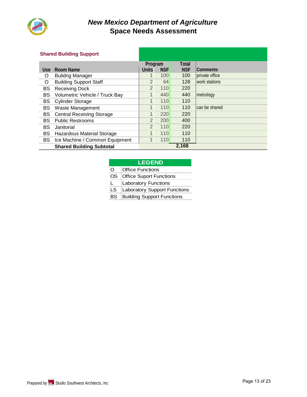

#### **Shared Building Support**

|            |                                  | Program        |            | <b>Total</b> |                 |
|------------|----------------------------------|----------------|------------|--------------|-----------------|
| <b>Use</b> | Room Name                        | <b>Units</b>   | <b>NSF</b> | <b>NSF</b>   | <b>Comments</b> |
| O          | <b>Bulidng Manager</b>           |                | 100        | 100          | private office  |
| O          | <b>Building Support Staff</b>    | 2              | 64         | 128          | work stations   |
| BS         | <b>Receiving Dock</b>            | 2              | 110        | 220          |                 |
| BS         | Volumetric Vehicle / Truck Bay   | $\mathbf{1}$   | 440        | 440          | metrology       |
| <b>BS</b>  | <b>Cylinder Storage</b>          | $\mathbf{1}$   | 110        | 110          |                 |
| BS         | Waste Management                 | $\overline{1}$ | 110        | 110          | can be shared   |
| <b>BS</b>  | <b>Central Receiving Storage</b> | $\mathbf{1}$   | 220        | 220          |                 |
| BS         | <b>Public Restrooms</b>          | 2              | 200        | 400          |                 |
| BS         | Janitorial                       | 2              | 110        | 220          |                 |
| BS         | Hazardous Material Storage       | $\mathbf{1}$   | 110        | 110          |                 |
| <b>BS</b>  | Ice Machine / Common Equipment   | $\mathbf{1}$   | 110        | 110          |                 |
|            | <b>Shared Building Subtotal</b>  |                |            | 2,168        |                 |

### **LEGEND**

| $\Omega$  | <b>Office Functions</b>             |
|-----------|-------------------------------------|
| OS.       | <b>Office Suport Functions</b>      |
| L         | <b>Laboratory Functions</b>         |
| LS.       | <b>Laboratory Support Functions</b> |
| <b>BS</b> | <b>Building Support Functions</b>   |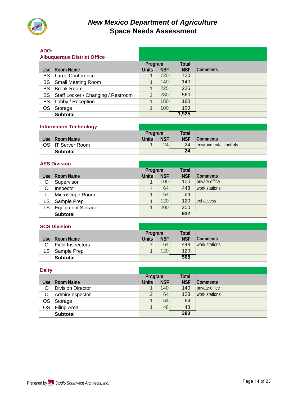

# **ADO:**

|       | <b>Albuquerque District Office</b>    |                |            |            |          |
|-------|---------------------------------------|----------------|------------|------------|----------|
|       |                                       | Program        |            | Total      |          |
| Use - | Room Name                             | <b>Units</b>   | <b>NSF</b> | <b>NSF</b> | Comments |
|       | <b>BS</b> Large Conference            |                | 720        | 720        |          |
|       | <b>BS</b> Small Meeting Room          | 1              | 140        | 140        |          |
| BS.   | <b>Break Room</b>                     |                | 225        | 225        |          |
|       | BS Staff Locker / Changing / Restroom | $\overline{2}$ | 280        | 560        |          |
|       | BS Lobby / Reception                  |                | 180        | 180        |          |
| OS    | Storage                               | 1              | 100        | 100        |          |
|       | <b>Subtotal</b>                       |                |            | 1,925      |          |

#### **Information Technology**

|                    | <b>Program</b> |            | Total      |                         |
|--------------------|----------------|------------|------------|-------------------------|
| Room Name<br>Use i | <b>Units</b>   | <b>NSF</b> | <b>NSF</b> | <b>Comments</b>         |
| OS IT Server Room  |                | 24         | 24         | lenvironmental controls |
| <b>Subtotal</b>    |                |            | 24         |                         |

#### **AES Division**

|      |                          | Program      |            | Total      |                 |
|------|--------------------------|--------------|------------|------------|-----------------|
| Use: | Room Name                | <b>Units</b> | <b>NSF</b> | <b>NSF</b> | <b>Comments</b> |
| O    | Supervisor               |              | 100        | 100        | private office  |
| O    | Inspector                |              | 64         | 448        | work stations   |
|      | Microscope Room          |              | 64         | 64         |                 |
| LS I | Sample Prep              |              | 120        | 120        | lext access     |
| LS.  | <b>Equipment Storage</b> |              | 200        | 200        |                 |
|      | <b>Subtotal</b>          |              |            | 932        |                 |

|     | <b>SCS Division</b>     |              |            |            |                 |
|-----|-------------------------|--------------|------------|------------|-----------------|
|     |                         | Program      |            | Total      |                 |
|     | Use Room Name           | <b>Units</b> | <b>NSF</b> | <b>NSF</b> | <b>Comments</b> |
| O   | <b>Field Inspectors</b> |              | 64         | 448        | work stations   |
| LS. | Sample Prep             |              | 120        | 120        |                 |
|     | Subtotal                |              |            | 568        |                 |

| <b>Dairy</b> |                          |              |            |              |                |  |  |
|--------------|--------------------------|--------------|------------|--------------|----------------|--|--|
|              |                          | Program      |            | <b>Total</b> |                |  |  |
| Use:         | Room Name                | <b>Units</b> | <b>NSF</b> | <b>NSF</b>   | Comments       |  |  |
| Ω            | <b>Division Director</b> |              | 140        | 140          | private office |  |  |
| O            | Admin/Inspector          | 2            | 64         | 128          | work stations  |  |  |
| OS           | Storage                  |              | 64         | 64           |                |  |  |
| OS           | <b>Filing Area</b>       |              | 48         | 48           |                |  |  |
|              | <b>Subtotal</b>          | 380          |            |              |                |  |  |

 $Subtotal$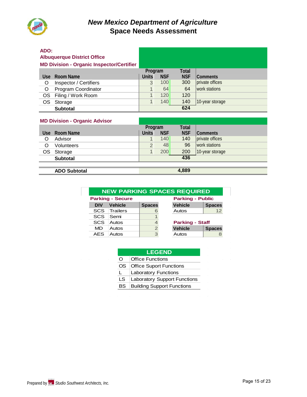

# **ADO:**

#### **Albuquerque District Office MD Division - Organic Inspector/Certifier**

|   | <b>MD DIVISION - Organic MSpecton Octance</b> |              |            |            |                 |
|---|-----------------------------------------------|--------------|------------|------------|-----------------|
|   |                                               | Program      |            | Total      |                 |
|   | Use Room Name                                 | <b>Units</b> | <b>NSF</b> | <b>NSF</b> | Comments        |
| O | Inspector / Certifiers                        | 3            | 100        | 300        | private offices |
| O | Program Coordinator                           |              | 64         | 64         | work stations   |
|   | OS Filing / Work Room                         |              | 120        | 120        |                 |
|   | OS Storage                                    |              | 140        | 140        | 10-year storage |
|   | <b>Subtotal</b>                               |              |            | 624        |                 |

#### **MD Division - Organic Advisor**

|       |                   | Program      |            | Total      |                 |  |  |
|-------|-------------------|--------------|------------|------------|-----------------|--|--|
| Use l | Room Name         | <b>Units</b> | <b>NSF</b> | <b>NSF</b> | <b>Comments</b> |  |  |
| O     | Advisor           |              | 140        | 140        | private offices |  |  |
| O     | <b>Volunteers</b> | 2            | 48         | 96         | work stations   |  |  |
| OS.   | Storage           |              | 200        | 200        | 10-year storage |  |  |
|       | <b>Subtotal</b>   | 436          |            |            |                 |  |  |
|       |                   |              |            |            |                 |  |  |

#### **ADO Subtotal 4,889**

| <b>NEW PARKING SPACES REQUIRED</b> |                         |               |  |                         |               |  |  |  |
|------------------------------------|-------------------------|---------------|--|-------------------------|---------------|--|--|--|
|                                    | <b>Parking - Secure</b> |               |  | <b>Parking - Public</b> |               |  |  |  |
| <b>DIV</b>                         | Vehicle                 | <b>Spaces</b> |  | <b>Vehicle</b>          | <b>Spaces</b> |  |  |  |
| <b>SCS</b>                         | Trailers                | 6             |  | Autos                   | 12            |  |  |  |
| <b>SCS</b>                         | Semi                    |               |  |                         |               |  |  |  |
| <b>SCS</b>                         | Autos                   | 4             |  | <b>Parking - Staff</b>  |               |  |  |  |
| <b>MD</b>                          | Autos                   | 2             |  | <b>Vehicle</b>          | <b>Spaces</b> |  |  |  |
| <b>AES</b>                         | Autos                   | 3             |  | Autos                   |               |  |  |  |
|                                    |                         |               |  |                         |               |  |  |  |

|    | <b>LEGEND</b>                       |
|----|-------------------------------------|
| O  | <b>Office Functions</b>             |
| OS | <b>Office Suport Functions</b>      |
| L  | <b>Laboratory Functions</b>         |
| LS | <b>Laboratory Support Functions</b> |
| BS | <b>Building Support Functions</b>   |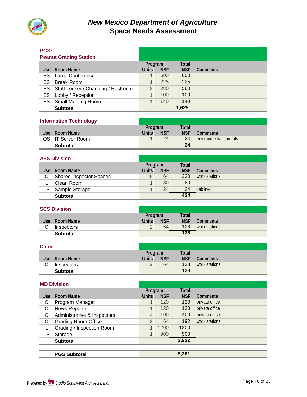

### **PGS:**

| .<br><b>Peanut Grading Station</b> |                                       |                |            |            |          |
|------------------------------------|---------------------------------------|----------------|------------|------------|----------|
|                                    |                                       | Program        |            | Total      |          |
| Use.                               | Room Name                             | <b>Units</b>   | <b>NSF</b> | <b>NSF</b> | Comments |
|                                    | <b>BS</b> Large Conference            |                | 600        | 600        |          |
| BS.                                | <b>Break Room</b>                     | 1              | 225        | 225        |          |
|                                    | BS Staff Locker / Changing / Restroom | $\overline{2}$ | 280        | 560        |          |
|                                    | BS Lobby / Reception                  |                | 100        | 100        |          |
| BS .                               | <b>Small Meeting Room</b>             | 1              | 140        | 140        |          |
|                                    | <b>Subtotal</b>                       |                |            | 1,625      |          |

#### **Information Technology**

|                    | Program |            | Total      |                                |
|--------------------|---------|------------|------------|--------------------------------|
| Room Name<br>Use i | Units   | <b>NSF</b> | <b>NSF</b> | <b>Comments</b>                |
| OS IT Server Room  |         | 24         | 24         | <b>lenvironmental controls</b> |
| <b>Subtotal</b>    |         |            | 24         |                                |

|      | <b>AES Division</b>            |              |                 |            |                 |  |
|------|--------------------------------|--------------|-----------------|------------|-----------------|--|
|      |                                | Program      |                 | Total      |                 |  |
| Use. | Room Name                      | <b>Units</b> | <b>NSF</b>      | <b>NSF</b> | <b>Comments</b> |  |
| O    | <b>Shared Inspector Spaces</b> | 5            | 64              | 320        | work stations   |  |
|      | Clean Room                     |              | 80 <sup>°</sup> | 80         |                 |  |
| LS.  | Sample Storage                 |              | 24              | 24         | cabiinet        |  |
|      | <b>Subtotal</b>                | 424          |                 |            |                 |  |

|   | <b>SCS Division</b> |               |            |            |                 |
|---|---------------------|---------------|------------|------------|-----------------|
|   |                     | Program       |            | Total      |                 |
|   | Use Room Name       | <b>Units</b>  | <b>NSF</b> | <b>NSF</b> | <b>Comments</b> |
| O | Inspectors          | $\mathcal{D}$ | 64         | 128        | work stations   |
|   | <b>Subtotal</b>     |               |            | 128        |                 |

#### **Dairy**

|                 | <b>Program</b> |            | Total      |                 |
|-----------------|----------------|------------|------------|-----------------|
| Use Room Name   | <b>Units</b>   | <b>NSF</b> | <b>NSF</b> | <b>Comments</b> |
| Inspectors      | $\Omega$       | 64         | 128        | work stations   |
| <b>Subtotal</b> | 128            |            |            |                 |

| <b>MD Division</b> |                             |                |            |            |                |  |  |
|--------------------|-----------------------------|----------------|------------|------------|----------------|--|--|
|                    |                             | Program        |            | Total      |                |  |  |
| <b>Use</b>         | Room Name                   | Units          | <b>NSF</b> | <b>NSF</b> | Comments       |  |  |
| O                  | Program Manager             |                | 120        | 120        | private office |  |  |
| O                  | News Reporter               |                | 120        | 120        | private office |  |  |
| O                  | Administrative & Inspectors | $\overline{4}$ | 100        | 400        | private office |  |  |
| O                  | <b>Grading Room Office</b>  | 3              | 64         | 192        | work stations  |  |  |
|                    | Grading / Inspection Room   |                | 1200       | 1200       |                |  |  |
| LS                 | Storage                     | $\mathbf{1}$   | 900        | 900        |                |  |  |
|                    | <b>Subtotal</b>             | 2,932          |            |            |                |  |  |
|                    |                             |                |            |            |                |  |  |
|                    | <b>PGS Subtotal</b>         |                |            | 5,261      |                |  |  |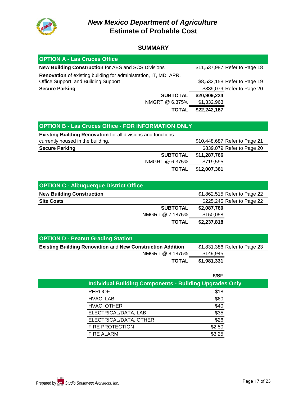

### *New Mexico Department of Agriculture* **Estimate of Probable Cost**

#### **SUMMARY**

| <b>OPTION A - Las Cruces Office</b>                              |                               |  |
|------------------------------------------------------------------|-------------------------------|--|
| <b>New Building Construction for AES and SCS Divisions</b>       | \$11,537,987 Refer to Page 18 |  |
| Renovation of existing building for administration, IT, MD, APR, |                               |  |
| Office Support, and Building Support                             | \$8,532,158 Refer to Page 19  |  |
| <b>Secure Parking</b>                                            | \$839,079 Refer to Page 20    |  |
| <b>SUBTOTAL</b>                                                  | \$20,909,224                  |  |
| NMGRT @ 6.375%                                                   | \$1,332,963                   |  |
| <b>TOTAL</b>                                                     | \$22,242,187                  |  |

### **OPTION B - Las Cruces Office - FOR INFORMATION ONLY**

| <b>Existing Building Renovation for all divisions and functions</b> |              |                               |
|---------------------------------------------------------------------|--------------|-------------------------------|
| currently housed in the building.                                   |              | \$10,448,687 Refer to Page 21 |
| <b>Secure Parking</b>                                               |              | \$839,079 Refer to Page 20    |
| <b>SUBTOTAL</b>                                                     | \$11,287,766 |                               |
| NMGRT @ 6.375%                                                      | \$719,595    |                               |
| <b>TOTAL</b>                                                        | \$12,007,361 |                               |

| <b>OPTION C - Albuquerque District Office</b> |                              |
|-----------------------------------------------|------------------------------|
| <b>New Building Construction</b>              | \$1,862,515 Refer to Page 22 |
| <b>Site Costs</b>                             | \$225,245 Refer to Page 22   |
| <b>SUBTOTAL</b>                               | \$2,087,760                  |
| NMGRT @ 7.1875%                               | \$150,058                    |
| <b>TOTAL</b>                                  | \$2,237,818                  |

| <b>OPTION D - Peanut Grading Station</b>                          |                              |
|-------------------------------------------------------------------|------------------------------|
| <b>Existing Building Renovation and New Construction Addition</b> | \$1,831,386 Refer to Page 23 |
| NMGRT @ 8.1875%                                                   | \$149,945                    |
| <b>TOTAL</b>                                                      | \$1,981,331                  |

|                                                                | \$/SF  |  |
|----------------------------------------------------------------|--------|--|
| <b>Individual Building Components - Building Upgrades Only</b> |        |  |
| <b>REROOF</b>                                                  | \$18   |  |
| HVAC, LAB                                                      | \$60   |  |
| HVAC, OTHER                                                    | \$40   |  |
| ELECTRICAL/DATA, LAB                                           | \$35   |  |
| ELECTRICAL/DATA, OTHER                                         | \$26   |  |
| <b>FIRE PROTECTION</b>                                         | \$2.50 |  |
| <b>FIRE ALARM</b>                                              | \$3.25 |  |
|                                                                |        |  |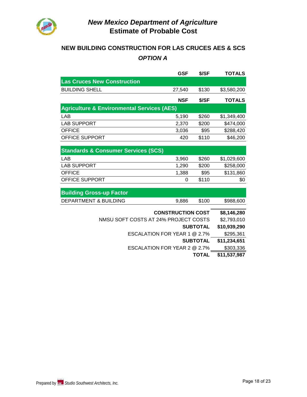

### **NEW BUILDING CONSTRUCTION FOR LAS CRUCES AES & SCS** *OPTION A*

|                                                       | <b>GSF</b>               | \$/SF           | <b>TOTALS</b> |
|-------------------------------------------------------|--------------------------|-----------------|---------------|
| <b>Las Cruces New Construction</b>                    |                          |                 |               |
| <b>BUILDING SHELL</b>                                 | 27,540                   | \$130           | \$3,580,200   |
|                                                       | <b>NSF</b>               | \$/SF           | <b>TOTALS</b> |
| <b>Agriculture &amp; Environmental Services (AES)</b> |                          |                 |               |
| LAB                                                   | 5,190                    | \$260           | \$1,349,400   |
| <b>LAB SUPPORT</b>                                    | 2,370                    | \$200           | \$474,000     |
| <b>OFFICE</b>                                         | 3,036                    | \$95            | \$288,420     |
| <b>OFFICE SUPPORT</b>                                 | 420                      | \$110           | \$46,200      |
|                                                       |                          |                 |               |
| <b>Standards &amp; Consumer Services (SCS)</b>        |                          |                 |               |
| LAB                                                   | 3,960                    | \$260           | \$1,029,600   |
| <b>LAB SUPPORT</b>                                    | 1,290                    | \$200           | \$258,000     |
| <b>OFFICE</b>                                         | 1,388                    | \$95            | \$131,860     |
| OFFICE SUPPORT                                        | 0                        | \$110           | \$0           |
|                                                       |                          |                 |               |
| <b>Building Gross-up Factor</b>                       |                          |                 |               |
| <b>DEPARTMENT &amp; BUILDING</b>                      | 9,886                    | \$100           | \$988,600     |
|                                                       | <b>CONSTRUCTION COST</b> |                 | \$8,146,280   |
| NMSU SOFT COSTS AT 24% PROJECT COSTS                  |                          |                 | \$2,793,010   |
|                                                       |                          | <b>SUBTOTAL</b> | \$10,939,290  |
| ESCALATION FOR YEAR 1 @ 2.7%                          |                          |                 | \$295,361     |
|                                                       |                          | <b>SUBTOTAL</b> | \$11,234,651  |
| ESCALATION FOR YEAR 2 @ 2.7%                          |                          |                 | \$303,336     |
|                                                       |                          | <b>TOTAL</b>    | \$11,537,987  |
|                                                       |                          |                 |               |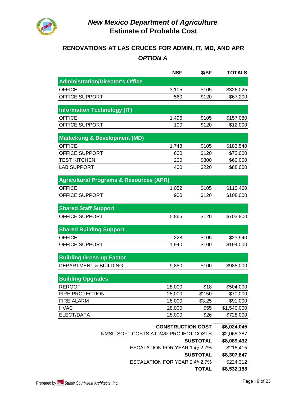

# **RENOVATIONS AT LAS CRUCES FOR ADMIN, IT, MD, AND APR** *OPTION A*

|                                                    | <b>NSF</b>                   | \$/SF           | <b>TOTALS</b> |
|----------------------------------------------------|------------------------------|-----------------|---------------|
| <b>Administration/Director's Office</b>            |                              |                 |               |
| <b>OFFICE</b>                                      | 3,105                        | \$105           | \$326,025     |
| OFFICE SUPPORT                                     | 560                          | \$120           | \$67,200      |
| <b>Information Technology (IT)</b>                 |                              |                 |               |
| <b>OFFICE</b>                                      | 1,496                        | \$105           | \$157,080     |
| OFFICE SUPPORT                                     | 100                          | \$120           | \$12,000      |
| <b>Markekting &amp; Development (MD)</b>           |                              |                 |               |
| <b>OFFICE</b>                                      | 1,748                        | \$105           | \$183,540     |
| OFFICE SUPPORT                                     | 600                          | \$120           | \$72,000      |
| <b>TEST KITCHEN</b>                                | 200                          | \$300           | \$60,000      |
| <b>LAB SUPPORT</b>                                 | 400                          | \$220           | \$88,000      |
| <b>Agricultural Programs &amp; Resources (APR)</b> |                              |                 |               |
| <b>OFFICE</b>                                      | 1,052                        | \$105           | \$110,460     |
| OFFICE SUPPORT                                     | 900                          | \$120           | \$108,000     |
| <b>Shared Staff Support</b>                        |                              |                 |               |
| OFFICE SUPPORT                                     | 5,865                        | \$120           | \$703,800     |
|                                                    |                              |                 |               |
| <b>Shared Building Support</b>                     |                              |                 |               |
| <b>OFFICE</b>                                      | 228                          | \$105           | \$23,940      |
| OFFICE SUPPORT                                     | 1,940                        | \$100           | \$194,000     |
| <b>Building Gross-up Factor</b>                    |                              |                 |               |
| DEPARTMENT & BUILDING                              | 9,850                        | \$100           | \$985,000     |
| <b>Building Upgrades</b>                           |                              |                 |               |
| <b>REROOF</b>                                      | 28,000                       | \$18            | \$504,000     |
| <b>FIRE PROTECTION</b>                             | 28,000                       | \$2.50          | \$70,000      |
| <b>FIRE ALARM</b>                                  | 28,000                       | \$3.25          | \$91,000      |
| <b>HVAC</b>                                        | 28,000                       | \$55            | \$1,540,000   |
| ELECT/DATA                                         | 28,000                       | \$26            | \$728,000     |
|                                                    | <b>CONSTRUCTION COST</b>     |                 | \$6,024,045   |
| NMSU SOFT COSTS AT 24% PROJECT COSTS               |                              |                 | \$2,065,387   |
| <b>SUBTOTAL</b>                                    |                              |                 | \$8,089,432   |
| ESCALATION FOR YEAR 1 @ 2.7%                       |                              |                 | \$218,415     |
|                                                    |                              | <b>SUBTOTAL</b> | \$8,307,847   |
|                                                    | ESCALATION FOR YEAR 2 @ 2.7% |                 | \$224,312     |
|                                                    |                              | <b>TOTAL</b>    | \$8,532,158   |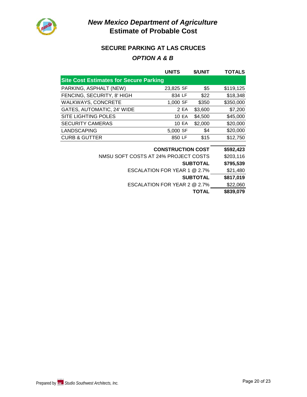

# *New Mexico Department of Agriculture* **Estimate of Probable Cost**

### **SECURE PARKING AT LAS CRUCES**

### *OPTION A & B*

|                                               | <b>UNITS</b>             | \$/UNIT         | <b>TOTALS</b> |
|-----------------------------------------------|--------------------------|-----------------|---------------|
| <b>Site Cost Estimates for Secure Parking</b> |                          |                 |               |
| PARKING, ASPHALT (NEW)                        | 23,825 SF                | \$5             | \$119,125     |
| FENCING, SECURITY, 8' HIGH                    | 834 LF                   | \$22            | \$18,348      |
| <b>WALKWAYS, CONCRETE</b>                     | 1,000 SF                 | \$350           | \$350,000     |
| GATES, AUTOMATIC, 24' WIDE                    | 2 EA                     | \$3,600         | \$7,200       |
| <b>SITE LIGHTING POLES</b>                    | <b>10 EA</b>             | \$4,500         | \$45,000      |
| <b>SECURITY CAMERAS</b>                       | 10 EA                    | \$2,000         | \$20,000      |
| <b>LANDSCAPING</b>                            | 5,000 SF                 | \$4             | \$20,000      |
| <b>CURB &amp; GUTTER</b>                      | 850 LF                   | \$15            | \$12,750      |
|                                               |                          |                 |               |
|                                               | <b>CONSTRUCTION COST</b> |                 | \$592,423     |
| NMSU SOFT COSTS AT 24% PROJECT COSTS          |                          |                 | \$203,116     |
|                                               |                          | <b>SUBTOTAL</b> | \$795,539     |
| ESCALATION FOR YEAR 1 @ 2.7%                  |                          |                 | \$21,480      |
|                                               |                          | <b>SUBTOTAL</b> | \$817,019     |
| ESCALATION FOR YEAR 2 @ 2.7%                  |                          |                 | \$22,060      |
|                                               |                          | TOTAL           | \$839,079     |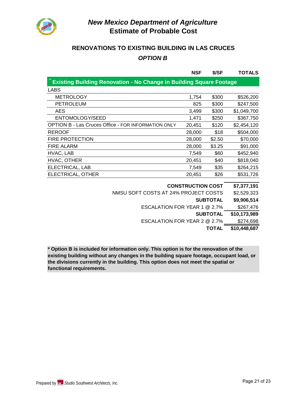

### **RENOVATIONS TO EXISTING BUILDING IN LAS CRUCES** *OPTION B*

|                                                            | <b>NSF</b>                                                                 | \$/SF  | <b>TOTALS</b> |  |  |
|------------------------------------------------------------|----------------------------------------------------------------------------|--------|---------------|--|--|
|                                                            | <b>Existing Building Renovation - No Change in Building Square Footage</b> |        |               |  |  |
| LABS                                                       |                                                                            |        |               |  |  |
| <b>METROLOGY</b>                                           | 1,754                                                                      | \$300  | \$526,200     |  |  |
| <b>PETROLEUM</b>                                           | 825                                                                        | \$300  | \$247,500     |  |  |
| AES                                                        | 3,499                                                                      | \$300  | \$1,049,700   |  |  |
| ENTOMOLOGY/SEED                                            | 1.471                                                                      | \$250  | \$367,750     |  |  |
| <b>OPTION B - Las Cruces Office - FOR INFORMATION ONLY</b> | 20,451                                                                     | \$120  | \$2,454,120   |  |  |
| <b>REROOF</b>                                              | 28,000                                                                     | \$18   | \$504,000     |  |  |
| <b>FIRE PROTECTION</b>                                     | 28,000                                                                     | \$2.50 | \$70,000      |  |  |
| <b>FIRE ALARM</b>                                          | 28,000                                                                     | \$3.25 | \$91,000      |  |  |
| HVAC, LAB                                                  | 7,549                                                                      | \$60   | \$452,940     |  |  |
| HVAC, OTHER                                                | 20,451                                                                     | \$40   | \$818,040     |  |  |
| ELECTRICAL, LAB                                            | 7,549                                                                      | \$35   | \$264,215     |  |  |
| ELECTRICAL, OTHER                                          | 20,451                                                                     | \$26   | \$531,726     |  |  |

| <b>TOTAL</b>                         | \$10,448,687 |
|--------------------------------------|--------------|
| ESCALATION FOR YEAR 2 @ 2.7%         | \$274,698    |
| <b>SUBTOTAL</b>                      | \$10,173,989 |
| ESCALATION FOR YEAR 1 @ 2.7%         | \$267,476    |
| <b>SUBTOTAL</b>                      | \$9,906,514  |
| NMSU SOFT COSTS AT 24% PROJECT COSTS | \$2,529,323  |
| <b>CONSTRUCTION COST</b>             | \$7,377,191  |

**\* Option B is included for information only. This option is for the renovation of the existing building without any changes in the building square footage, occupant load, or the divisions currently in the building. This option does not meet the spatial or functional requirements.**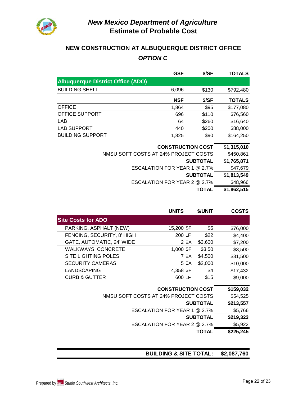

### **NEW CONSTRUCTION AT ALBUQUERQUE DISTRICT OFFICE** *OPTION C*

|                                          | <b>GSF</b>                   | \$/SF           | TOTALS        |
|------------------------------------------|------------------------------|-----------------|---------------|
| <b>Albuquerque District Office (ADO)</b> |                              |                 |               |
| <b>BUILDING SHELL</b>                    | 6,096                        | \$130           | \$792,480     |
|                                          | <b>NSF</b>                   | \$/SF           | <b>TOTALS</b> |
| <b>OFFICE</b>                            | 1,864                        | \$95            | \$177,080     |
| <b>OFFICE SUPPORT</b>                    | 696                          | \$110           | \$76,560      |
| LAB                                      | 64                           | \$260           | \$16,640      |
| <b>LAB SUPPORT</b>                       | 440                          | \$200           | \$88,000      |
| <b>BUILDING SUPPORT</b>                  | 1,825                        | \$90            | \$164,250     |
|                                          | <b>CONSTRUCTION COST</b>     |                 | \$1,315,010   |
| NMSU SOFT COSTS AT 24% PROJECT COSTS     |                              |                 | \$450,861     |
|                                          |                              | <b>SUBTOTAL</b> | \$1,765,871   |
|                                          | ESCALATION FOR YEAR 1 @ 2.7% |                 | \$47,679      |
|                                          |                              | <b>SUBTOTAL</b> | \$1,813,549   |
|                                          | ESCALATION FOR YEAR 2 @ 2.7% |                 | \$48,966      |
|                                          |                              | TOTAL           | \$1,862,515   |

|                                      | <b>UNITS</b>                 | \$/UNIT         | <b>COSTS</b> |
|--------------------------------------|------------------------------|-----------------|--------------|
| <b>Site Costs for ADO</b>            |                              |                 |              |
| PARKING, ASPHALT (NEW)               | 15,200 SF                    | \$5             | \$76,000     |
| FENCING, SECURITY, 8' HIGH           | 200 LF                       | \$22            | \$4,400      |
| GATE, AUTOMATIC, 24' WIDE            | 2 EA                         | \$3,600         | \$7,200      |
| <b>WALKWAYS, CONCRETE</b>            | 1,000 SF                     | \$3.50          | \$3,500      |
| <b>SITE LIGHTING POLES</b>           | 7 EA                         | \$4,500         | \$31,500     |
| <b>SECURITY CAMERAS</b>              | 5 EA                         | \$2,000         | \$10,000     |
| <b>LANDSCAPING</b>                   | 4,358 SF                     | \$4             | \$17,432     |
| <b>CURB &amp; GUTTER</b>             | 600 LF                       | \$15            | \$9,000      |
|                                      |                              |                 |              |
|                                      | <b>CONSTRUCTION COST</b>     |                 | \$159,032    |
| NMSU SOFT COSTS AT 24% PROJECT COSTS |                              |                 | \$54,525     |
|                                      |                              | <b>SUBTOTAL</b> | \$213,557    |
|                                      | ESCALATION FOR YEAR 1 @ 2.7% |                 | \$5,766      |
|                                      |                              | <b>SUBTOTAL</b> | \$219,323    |
|                                      | ESCALATION FOR YEAR 2 @ 2.7% |                 | \$5,922      |
|                                      |                              | TOTAL           | \$225,245    |

### **BUILDING & SITE TOTAL: \$2,087,760**